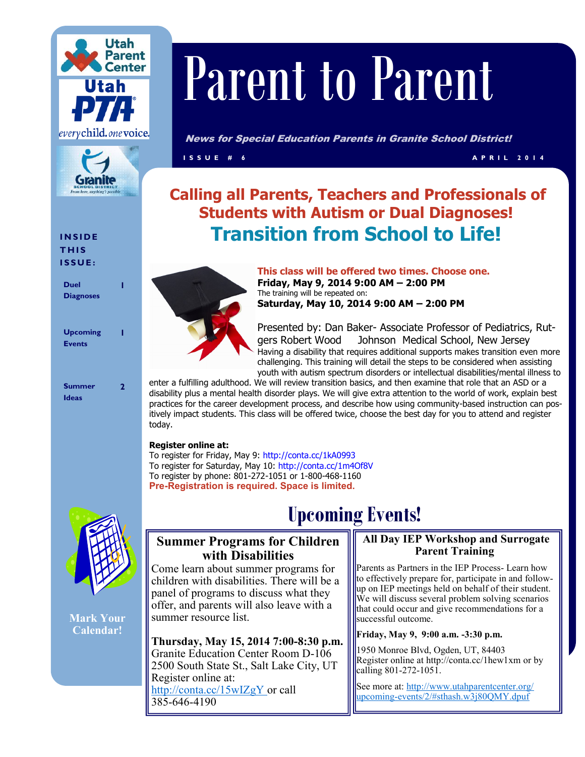



**I N S I D E T H I S I S S U E :**

**Duel Diagnoses**

**1**

**1**

**2**

**Upcoming Events**

**Summer Ideas**

# Parent to Parent

News for Special Education Parents in Granite School District!

**I S S U E # 6 A P R I L 2 0 1 4**

# **Calling all Parents, Teachers and Professionals of Students with Autism or Dual Diagnoses! Transition from School to Life!**



**This class will be offered two times. Choose one. Friday, May 9, 2014 9:00 AM – 2:00 PM**  The training will be repeated on: **Saturday, May 10, 2014 9:00 AM – 2:00 PM** 

Presented by: Dan Baker- Associate Professor of Pediatrics, Rutgers Robert Wood Johnson Medical School, New Jersey Having a disability that requires additional supports makes transition even more challenging. This training will detail the steps to be considered when assisting youth with autism spectrum disorders or intellectual disabilities/mental illness to

enter a fulfilling adulthood. We will review transition basics, and then examine that role that an ASD or a disability plus a mental health disorder plays. We will give extra attention to the world of work, explain best practices for the career development process, and describe how using community-based instruction can positively impact students. This class will be offered twice, choose the best day for you to attend and register today.

## **Register online at:**

To register for Friday, May 9: http://conta.cc/1kA0993 To register for Saturday, May 10: http://conta.cc/1m4Of8V To register by phone: 801-272-1051 or 1-800-468-1160 **Pre-Registration is required. Space is limited.** 



**Mark Your Calendar!**

# **Upcoming Events!**

## **Summer Programs for Children with Disabilities**

Come learn about summer programs for children with disabilities. There will be a panel of programs to discuss what they offer, and parents will also leave with a summer resource list.

**Thursday, May 15, 2014 7:00-8:30 p.m.**  Granite Education Center Room D-106 2500 South State St., Salt Lake City, UT Register online at: http://conta.cc/15wIZgY or call 385-646-4190

## **All Day IEP Workshop and Surrogate Parent Training**

Parents as Partners in the IEP Process- Learn how to effectively prepare for, participate in and followup on IEP meetings held on behalf of their student. We will discuss several problem solving scenarios that could occur and give recommendations for a successful outcome.

## **Friday, May 9, 9:00 a.m. -3:30 p.m.**

1950 Monroe Blvd, Ogden, UT, 84403 Register online at http://conta.cc/1hew1xm or by calling 801-272-1051.

See more at: http://www.utahparentcenter.org/ upcoming-events/2/#sthash.w3j80QMY.dpuf